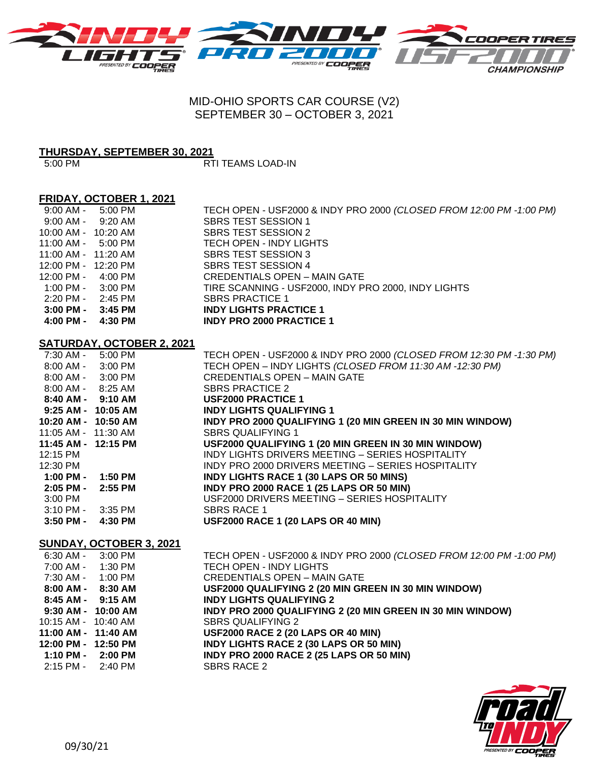

# MID-OHIO SPORTS CAR COURSE (V2) SEPTEMBER 30 – OCTOBER 3, 2021

# **THURSDAY, SEPTEMBER 30, 2021**

5:00 PM RTI TEAMS LOAD-IN

#### **FRIDAY, OCTOBER 1, 2021**

| 9:00 AM -                           | 5:00 PM | TECH OPEN - USF2000 & INDY PRO 2000 (CLOSED FROM 12:00 PM -1:00 PM) |
|-------------------------------------|---------|---------------------------------------------------------------------|
| 9:00 AM -                           | 9:20 AM | SBRS TEST SESSION 1                                                 |
| 10:00 AM - 10:20 AM                 |         | <b>SBRS TEST SESSION 2</b>                                          |
| $11:00$ AM - $5:00$ PM              |         | TECH OPEN - INDY LIGHTS                                             |
| 11:00 AM - 11:20 AM                 |         | <b>SBRS TEST SESSION 3</b>                                          |
| 12:00 PM - 12:20 PM                 |         | <b>SBRS TEST SESSION 4</b>                                          |
| 12:00 PM -                          | 4:00 PM | <b>CREDENTIALS OPEN - MAIN GATE</b>                                 |
| $1:00 \text{ PM} - 3:00 \text{ PM}$ |         | TIRE SCANNING - USF2000, INDY PRO 2000, INDY LIGHTS                 |
| 2:20 PM -                           | 2:45 PM | <b>SBRS PRACTICE 1</b>                                              |
| $3:00$ PM -                         | 3:45 PM | <b>INDY LIGHTS PRACTICE 1</b>                                       |
| 4:00 PM -                           | 4:30 PM | <b>INDY PRO 2000 PRACTICE 1</b>                                     |

## **SATURDAY, OCTOBER 2, 2021**

| 7:30 AM - 5:00 PM     |         | TECH OPEN - USF2000 & INDY PRO 2000 (CLOSED FROM 12:30 PM -1:30 PM) |
|-----------------------|---------|---------------------------------------------------------------------|
| $8:00$ AM - $3:00$ PM |         | TECH OPEN - INDY LIGHTS (CLOSED FROM 11:30 AM -12:30 PM)            |
| $8:00$ AM - $3:00$ PM |         | <b>CREDENTIALS OPEN - MAIN GATE</b>                                 |
| $8:00$ AM - $8:25$ AM |         | <b>SBRS PRACTICE 2</b>                                              |
| 8:40 AM - 9:10 AM     |         | <b>USF2000 PRACTICE 1</b>                                           |
| 9:25 AM - 10:05 AM    |         | <b>INDY LIGHTS QUALIFYING 1</b>                                     |
| 10:20 AM - 10:50 AM   |         | INDY PRO 2000 QUALIFYING 1 (20 MIN GREEN IN 30 MIN WINDOW)          |
| 11:05 AM - 11:30 AM   |         | <b>SBRS QUALIFYING 1</b>                                            |
| 11:45 AM - 12:15 PM   |         | USF2000 QUALIFYING 1 (20 MIN GREEN IN 30 MIN WINDOW)                |
| 12:15 PM              |         | INDY LIGHTS DRIVERS MEETING - SERIES HOSPITALITY                    |
| 12:30 PM              |         | INDY PRO 2000 DRIVERS MEETING - SERIES HOSPITALITY                  |
| 1:00 PM -             | 1:50 PM | <b>INDY LIGHTS RACE 1 (30 LAPS OR 50 MINS)</b>                      |
| $2:05$ PM - $2:55$ PM |         | <b>INDY PRO 2000 RACE 1 (25 LAPS OR 50 MIN)</b>                     |
| 3:00 PM               |         | USF2000 DRIVERS MEETING - SERIES HOSPITALITY                        |
| 3:10 PM -             | 3:35 PM | <b>SBRS RACE 1</b>                                                  |
| $3:50$ PM -           | 4:30 PM | <b>USF2000 RACE 1 (20 LAPS OR 40 MIN)</b>                           |

### **SUNDAY, OCTOBER 3, 2021**

| 6:30 AM - 3:00 PM                   |         | TECH OPEN - USF2000 & INDY PRO 2000 (CLOSED FROM 12:00 PM - 1:00 PM) |
|-------------------------------------|---------|----------------------------------------------------------------------|
| 7:00 AM - 1:30 PM                   |         | TECH OPEN - INDY LIGHTS                                              |
| 7:30 AM -                           | 1:00 PM | <b>CREDENTIALS OPEN - MAIN GATE</b>                                  |
| $8:00$ AM - $8:30$ AM               |         | USF2000 QUALIFYING 2 (20 MIN GREEN IN 30 MIN WINDOW)                 |
| $8:45$ AM - $9:15$ AM               |         | <b>INDY LIGHTS QUALIFYING 2</b>                                      |
| 9:30 AM - 10:00 AM                  |         | INDY PRO 2000 QUALIFYING 2 (20 MIN GREEN IN 30 MIN WINDOW)           |
| 10:15 AM - 10:40 AM                 |         | SBRS QUALIFYING 2                                                    |
| 11:00 AM - 11:40 AM                 |         | <b>USF2000 RACE 2 (20 LAPS OR 40 MIN)</b>                            |
| 12:00 PM - 12:50 PM                 |         | <b>INDY LIGHTS RACE 2 (30 LAPS OR 50 MIN)</b>                        |
| $1:10 \text{ PM} - 2:00 \text{ PM}$ |         | <b>INDY PRO 2000 RACE 2 (25 LAPS OR 50 MIN)</b>                      |
| 2:15 PM - 2:40 PM                   |         | SBRS RACE 2                                                          |
|                                     |         |                                                                      |